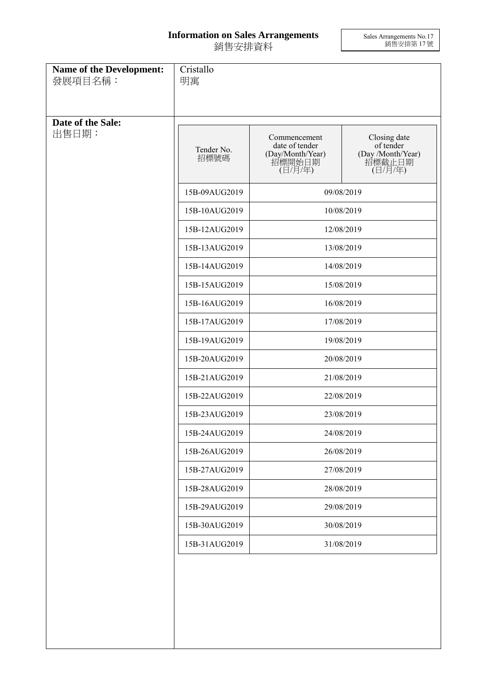## **Information on Sales Arrangements** 銷售安排資料

Sales Arrangements No.17 銷售安排第 17 號

| Name of the Development:<br>發展項目名稱: | Cristallo<br>明寓    |                                                                                                                                                                                    |                                                                     |
|-------------------------------------|--------------------|------------------------------------------------------------------------------------------------------------------------------------------------------------------------------------|---------------------------------------------------------------------|
| Date of the Sale:<br>出售日期:          | Tender No.<br>招標號碼 | Commencement<br>date of tender<br>(Day/Month/Year)<br>招標開始日期<br>(日/月/年)                                                                                                            | Closing date<br>of tender<br>(Day /Month/Year)<br>招標截止日期<br>(日/月/年) |
|                                     | 15B-09AUG2019      |                                                                                                                                                                                    | 09/08/2019                                                          |
|                                     | 15B-10AUG2019      |                                                                                                                                                                                    | 10/08/2019                                                          |
|                                     | 15B-12AUG2019      |                                                                                                                                                                                    | 12/08/2019                                                          |
|                                     | 15B-13AUG2019      |                                                                                                                                                                                    | 13/08/2019                                                          |
|                                     | 15B-14AUG2019      |                                                                                                                                                                                    | 14/08/2019                                                          |
|                                     | 15B-15AUG2019      | 15/08/2019<br>16/08/2019<br>17/08/2019<br>19/08/2019<br>20/08/2019<br>21/08/2019<br>22/08/2019<br>23/08/2019<br>24/08/2019<br>26/08/2019<br>27/08/2019<br>28/08/2019<br>29/08/2019 |                                                                     |
|                                     | 15B-16AUG2019      |                                                                                                                                                                                    |                                                                     |
|                                     | 15B-17AUG2019      |                                                                                                                                                                                    |                                                                     |
|                                     | 15B-19AUG2019      |                                                                                                                                                                                    |                                                                     |
|                                     | 15B-20AUG2019      |                                                                                                                                                                                    |                                                                     |
|                                     | 15B-21AUG2019      |                                                                                                                                                                                    |                                                                     |
|                                     | 15B-22AUG2019      |                                                                                                                                                                                    |                                                                     |
|                                     | 15B-23AUG2019      |                                                                                                                                                                                    |                                                                     |
|                                     | 15B-24AUG2019      |                                                                                                                                                                                    |                                                                     |
|                                     | 15B-26AUG2019      |                                                                                                                                                                                    |                                                                     |
|                                     | 15B-27AUG2019      |                                                                                                                                                                                    |                                                                     |
|                                     | 15B-28AUG2019      |                                                                                                                                                                                    |                                                                     |
|                                     | 15B-29AUG2019      |                                                                                                                                                                                    |                                                                     |
|                                     | 15B-30AUG2019      | 30/08/2019                                                                                                                                                                         |                                                                     |
|                                     | 15B-31AUG2019      |                                                                                                                                                                                    | 31/08/2019                                                          |
|                                     |                    |                                                                                                                                                                                    |                                                                     |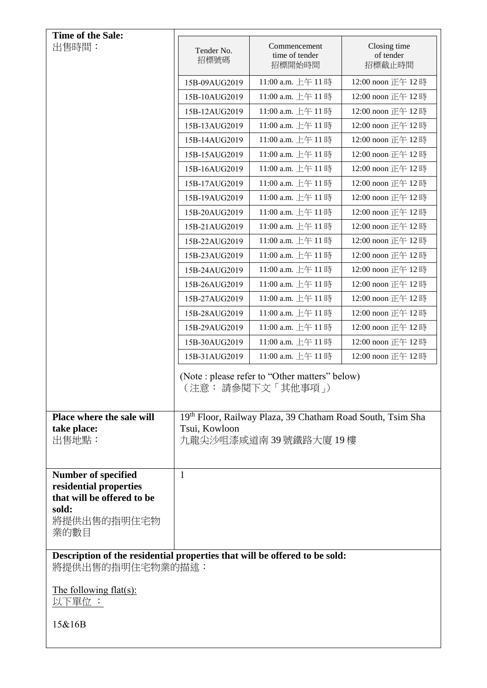| Time of the Sale:                                                                              |                    |                                                                        |                                     |
|------------------------------------------------------------------------------------------------|--------------------|------------------------------------------------------------------------|-------------------------------------|
| 出售時間:                                                                                          | Tender No.<br>招標號碼 | Commencement<br>time of tender<br>招標開始時間                               | Closing time<br>of tender<br>招標截止時間 |
|                                                                                                | 15B-09AUG2019      | 11:00 a.m. 上午 11時                                                      | 12:00 noon 正午 12時                   |
|                                                                                                | 15B-10AUG2019      | 11:00 a.m. 上午 11時                                                      | 12:00 noon 正午 12時                   |
|                                                                                                | 15B-12AUG2019      | 11:00 a.m. 上午 11時                                                      | 12:00 noon 正午 12時                   |
|                                                                                                | 15B-13AUG2019      | 11:00 a.m. 上午 11時                                                      | 12:00 noon 正午 12時                   |
|                                                                                                | 15B-14AUG2019      | 11:00 a.m. 上午11時                                                       | 12:00 noon 正午 12時                   |
|                                                                                                | 15B-15AUG2019      | 11:00 a.m. 上午 11時                                                      | 12:00 noon 正午 12時                   |
|                                                                                                | 15B-16AUG2019      | 11:00 a.m. 上午 11時                                                      | 12:00 noon 正午 12時                   |
|                                                                                                | 15B-17AUG2019      | 11:00 a.m. 上午 11時                                                      | 12:00 noon 正午 12時                   |
|                                                                                                | 15B-19AUG2019      | 11:00 a.m. 上午 11時                                                      | 12:00 noon 正午 12時                   |
|                                                                                                | 15B-20AUG2019      | 11:00 a.m. 上午 11時                                                      | 12:00 noon 正午 12時                   |
|                                                                                                | 15B-21AUG2019      | 11:00 a.m. 上午 11時                                                      | 12:00 noon 正午 12時                   |
|                                                                                                | 15B-22AUG2019      | 11:00 a.m. 上午 11時                                                      | 12:00 noon 正午 12時                   |
|                                                                                                | 15B-23AUG2019      | 11:00 a.m. 上午 11時                                                      | 12:00 noon 正午 12時                   |
|                                                                                                | 15B-24AUG2019      | 11:00 a.m. 上午 11時                                                      | 12:00 noon 正午 12時                   |
|                                                                                                | 15B-26AUG2019      | 11:00 a.m. 上午 11時                                                      | 12:00 noon 正午 12時                   |
|                                                                                                | 15B-27AUG2019      | 11:00 a.m. 上午 11時                                                      | 12:00 noon 正午 12時                   |
|                                                                                                | 15B-28AUG2019      | 11:00 a.m. 上午 11時                                                      | 12:00 noon 正午 12時                   |
|                                                                                                | 15B-29AUG2019      | 11:00 a.m. 上午 11時                                                      | 12:00 noon 正午 12時                   |
|                                                                                                | 15B-30AUG2019      | 11:00 a.m. 上午 11時                                                      | 12:00 noon 正午 12時                   |
|                                                                                                | 15B-31AUG2019      | 11:00 a.m. 上午 11時                                                      | 12:00 noon 正午 12時                   |
|                                                                                                |                    | (Note: please refer to "Other matters" below)<br>(注意: 請參閱下文「其他事項」)     |                                     |
| Place where the sale will                                                                      |                    | 19 <sup>th</sup> Floor, Railway Plaza, 39 Chatham Road South, Tsim Sha |                                     |
| take place:<br>出售地點:                                                                           | Tsui, Kowloon      | 九龍尖沙咀漆咸道南 39 號鐵路大廈 19 樓                                                |                                     |
| Number of specified<br>residential properties<br>that will be offered to be<br>sold:           | $\mathbf{1}$       |                                                                        |                                     |
| 將提供出售的指明住宅物<br>業的數目                                                                            |                    |                                                                        |                                     |
| Description of the residential properties that will be offered to be sold:<br>將提供出售的指明住宅物業的描述: |                    |                                                                        |                                     |
| The following flat(s):<br>以下單位 :                                                               |                    |                                                                        |                                     |
| 15&16B                                                                                         |                    |                                                                        |                                     |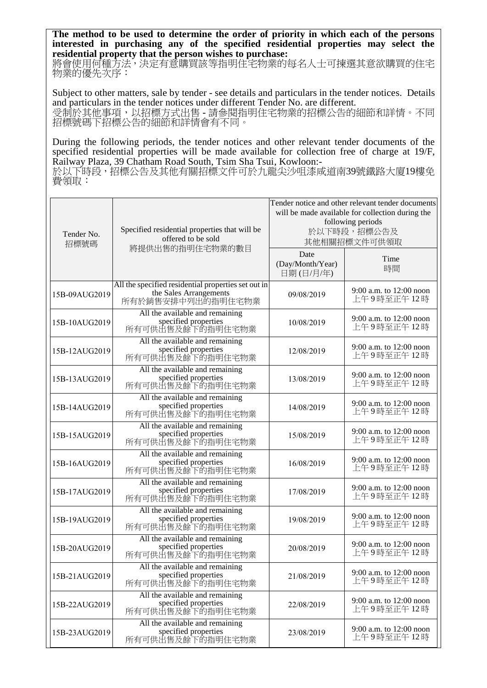**The method to be used to determine the order of priority in which each of the persons interested in purchasing any of the specified residential properties may select the residential property that the person wishes to purchase:** 

將會使用何種方法,決定有意購買該等指明住宅物業的每名人士可揀選其意欲購買的住宅 物業的優先次序:

Subject to other matters, sale by tender - see details and particulars in the tender notices. Details and particulars in the tender notices under different Tender No. are different. 受制於其他事項,以招標方式出售 - 請參閱指明住宅物業的招標公告的細節和詳情。不同 招標號碼下招標公告的細節和詳情會有不同。

During the following periods, the tender notices and other relevant tender documents of the specified residential properties will be made available for collection free of charge at 19/F, Railway Plaza, 39 Chatham Road South, Tsim Sha Tsui, Kowloon:-

於以下時段,招標公告及其他有關招標文件可於九龍尖沙咀漆咸道南39號鐵路大廈19樓免 費領取:

| Tender No.<br>招標號碼 | Specified residential properties that will be<br>offered to be sold                                | Tender notice and other relevant tender documents<br>will be made available for collection during the<br>following periods<br>於以下時段,招標公告及<br>其他相關招標文件可供領取 |                                         |
|--------------------|----------------------------------------------------------------------------------------------------|-----------------------------------------------------------------------------------------------------------------------------------------------------------|-----------------------------------------|
|                    | 將提供出售的指明住宅物業的數目                                                                                    | Date<br>(Day/Month/Year)<br>日期(日/月/年)                                                                                                                     | Time<br>時間                              |
| 15B-09AUG2019      | All the specified residential properties set out in<br>the Sales Arrangements<br>所有於銷售安排中列出的指明住宅物業 | 09/08/2019                                                                                                                                                | 9:00 a.m. to 12:00 noon<br>上午9時至正午12時   |
| 15B-10AUG2019      | All the available and remaining<br>specified properties<br>所有可供出售及餘下的指明住宅物業                        | 10/08/2019                                                                                                                                                | 9:00 a.m. to 12:00 noon<br>上午9時至正午12時   |
| 15B-12AUG2019      | All the available and remaining<br>specified properties<br>所有可供出售及餘下的指明住宅物業                        | 12/08/2019                                                                                                                                                | 9:00 a.m. to 12:00 noon<br>上午9時至正午12時   |
| 15B-13AUG2019      | All the available and remaining<br>specified properties<br>所有可供出售及餘下的指明住宅物業                        | 13/08/2019                                                                                                                                                | 9:00 a.m. to 12:00 noon<br>上午9時至正午12時   |
| 15B-14AUG2019      | All the available and remaining<br>specified properties<br>所有可供出售及餘下的指明住宅物業                        | 14/08/2019                                                                                                                                                | 9:00 a.m. to 12:00 noon<br>上午9時至正午12時   |
| 15B-15AUG2019      | All the available and remaining<br>specified properties<br>所有可供出售及餘下的指明住宅物業                        | 15/08/2019                                                                                                                                                | 9:00 a.m. to 12:00 noon<br>上午9時至正午12時   |
| 15B-16AUG2019      | All the available and remaining<br>specified properties<br>所有可供出售及餘下的指明住宅物業                        | 16/08/2019                                                                                                                                                | 9:00 a.m. to 12:00 noon<br>上午9時至正午12時   |
| 15B-17AUG2019      | All the available and remaining<br>specified properties<br>所有可供出售及餘下的指明住宅物業                        | 17/08/2019                                                                                                                                                | 9:00 a.m. to 12:00 noon<br>上午9時至正午12時   |
| 15B-19AUG2019      | All the available and remaining<br>specified properties<br>所有可供出售及餘下的指明住宅物業                        | 19/08/2019                                                                                                                                                | 9:00 a.m. to 12:00 noon<br>上午9時至正午12時   |
| 15B-20AUG2019      | All the available and remaining<br>specified properties<br>所有可供出售及餘下的指明住宅物業                        | 20/08/2019                                                                                                                                                | 9:00 a.m. to 12:00 noon<br>上午9時至正午12時   |
| 15B-21AUG2019      | All the available and remaining<br>specified properties<br>所有可供出售及餘下的指明住宅物業                        | 21/08/2019                                                                                                                                                | 9:00 a.m. to 12:00 noon<br>上午9時至正午12時   |
| 15B-22AUG2019      | All the available and remaining<br>specified properties<br>所有可供出售及餘下的指明住宅物業                        | 22/08/2019                                                                                                                                                | 9:00 a.m. to $12:00$ noon<br>上午9時至正午12時 |
| 15B-23AUG2019      | All the available and remaining<br>specified properties<br>所有可供出售及餘下的指明住宅物業                        | 23/08/2019                                                                                                                                                | 9:00 a.m. to $12:00$ noon<br>上午9時至正午12時 |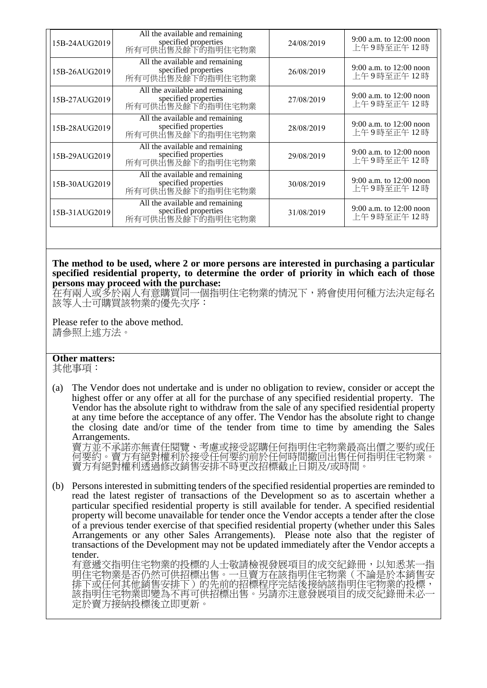| 15B-24AUG2019 | All the available and remaining<br>specified properties<br>所有可供出售及餘下的指明住宅物業 | 24/08/2019 | 9:00 a.m. to 12:00 noon<br>上午9時至正午12時   |
|---------------|-----------------------------------------------------------------------------|------------|-----------------------------------------|
| 15B-26AUG2019 | All the available and remaining<br>specified properties<br>所有可供出售及餘下的指明住宅物業 | 26/08/2019 | 9:00 a.m. to 12:00 noon<br>上午9時至正午12時   |
| 15B-27AUG2019 | All the available and remaining<br>specified properties<br>所有可供出售及餘下的指明住宅物業 | 27/08/2019 | 9:00 a.m. to 12:00 noon<br>上午9時至正午12時   |
| 15B-28AUG2019 | All the available and remaining<br>specified properties<br>所有可供出售及餘下的指明住宅物業 | 28/08/2019 | 9:00 a.m. to 12:00 noon<br>上午9時至正午12時   |
| 15B-29AUG2019 | All the available and remaining<br>specified properties<br>所有可供出售及餘下的指明住宅物業 | 29/08/2019 | 9:00 a.m. to 12:00 noon<br>上午9時至正午12時   |
| 15B-30AUG2019 | All the available and remaining<br>specified properties<br>所有可供出售及餘下的指明住宅物業 | 30/08/2019 | 9:00 a.m. to 12:00 noon<br>上午9時至正午12時   |
| 15B-31AUG2019 | All the available and remaining<br>specified properties<br>所有可供出售及餘下的指明住宅物業 | 31/08/2019 | 9:00 a.m. to $12:00$ noon<br>上午9時至正午12時 |

## **The method to be used, where 2 or more persons are interested in purchasing a particular specified residential property, to determine the order of priority in which each of those persons may proceed with the purchase:**

在有兩人或多於兩人有意購買同一個指明住宅物業的情況下,將會使用何種方法決定每名 該等人士可購買該物業的優先次序:

Please refer to the above method. 請參照上述方法。

## **Other matters:**

其他事項:

(a) The Vendor does not undertake and is under no obligation to review, consider or accept the highest offer or any offer at all for the purchase of any specified residential property. The Vendor has the absolute right to withdraw from the sale of any specified residential property at any time before the acceptance of any offer. The Vendor has the absolute right to change the closing date and/or time of the tender from time to time by amending the Sales Arrangements.

賣方並不承諾亦無責任閱覽、考慮或接受認購任何指明住宅物業最高出價之要約或任 何要約。賣方有絕對權利於接受任何要約前於任何時間撤回出售任何指明住宅物業。 賣方有絕對權利透過修改銷售安排不時更改招標截止日期及/或時間。

(b) Persons interested in submitting tenders of the specified residential properties are reminded to read the latest register of transactions of the Development so as to ascertain whether a particular specified residential property is still available for tender. A specified residential property will become unavailable for tender once the Vendor accepts a tender after the close of a previous tender exercise of that specified residential property (whether under this Sales Arrangements or any other Sales Arrangements). Please note also that the register of transactions of the Development may not be updated immediately after the Vendor accepts a tender.

有意遞交指明住宅物業的投標的人士敬請檢視發展項目的成交紀錄冊,以知悉某一指 明住宅物業是否仍然可供招標出售。一旦賣方在該指明住宅物業(不論是於本銷售安 排下或任何其他銷售安排下)的先前的招標程序完結後接納該指明住宅物業的投標, 該指明住宅物業即變為不再可供招標出售。另請亦注意發展項目的成交紀錄冊未必 定於賣方接納投標後立即更新。